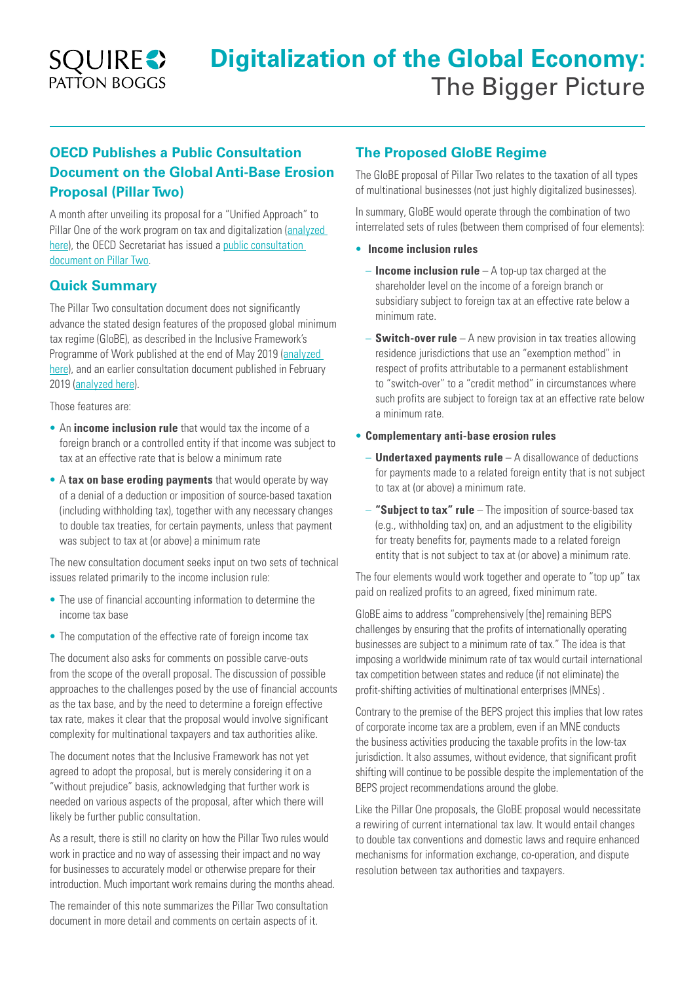

# **OECD Publishes a Public Consultation Document on the Global Anti-Base Erosion Proposal (Pillar Two)**

A month after unveiling its proposal for a "Unified Approach" to Pillar One of the work program on tax and digitalization [\(analyzed](https://www.squirepattonboggs.com/en/insights/publications/2019/10/pillar-of-salt-oecd-unveils-a-proposed-unified-approach-to-profit-allocation) here), the OECD Secretariat has issued a public consultation [document on Pillar Two](http://www.oecd.org/tax/beps/public-consultation-document-global-anti-base-erosion-proposal-pillar-two.pdf.pdf).

#### **Quick Summary**

The Pillar Two consultation document does not significantly advance the stated design features of the proposed global minimum tax regime (GloBE), as described in the Inclusive Framework's Programme of Work published at the end of May 2019 ([analyzed](https://www.squirepattonboggs.com/en/insights/publications/2019/07/digitalisation-of-the-global-economy-navigating-the-tax-challenges)  [here\)](https://www.squirepattonboggs.com/en/insights/publications/2019/07/digitalisation-of-the-global-economy-navigating-the-tax-challenges), and an earlier consultation document published in February 2019 ([analyzed here](https://www.squirepattonboggs.com/en/insights/publications/2019/02/addressing-the-tax-challenges-of-the-digitalization-of-the-economy-oecd-publishes-consultation-document)).

Those features are:

- An **income inclusion rule** that would tax the income of a foreign branch or a controlled entity if that income was subject to tax at an effective rate that is below a minimum rate
- A **tax on base eroding payments** that would operate by way of a denial of a deduction or imposition of source-based taxation (including withholding tax), together with any necessary changes to double tax treaties, for certain payments, unless that payment was subject to tax at (or above) a minimum rate

The new consultation document seeks input on two sets of technical issues related primarily to the income inclusion rule:

- The use of financial accounting information to determine the income tax base
- The computation of the effective rate of foreign income tax

The document also asks for comments on possible carve-outs from the scope of the overall proposal. The discussion of possible approaches to the challenges posed by the use of financial accounts as the tax base, and by the need to determine a foreign effective tax rate, makes it clear that the proposal would involve significant complexity for multinational taxpayers and tax authorities alike.

The document notes that the Inclusive Framework has not yet agreed to adopt the proposal, but is merely considering it on a "without prejudice" basis, acknowledging that further work is needed on various aspects of the proposal, after which there will likely be further public consultation.

As a result, there is still no clarity on how the Pillar Two rules would work in practice and no way of assessing their impact and no way for businesses to accurately model or otherwise prepare for their introduction. Much important work remains during the months ahead.

The remainder of this note summarizes the Pillar Two consultation document in more detail and comments on certain aspects of it.

### **The Proposed GloBE Regime**

The GloBE proposal of Pillar Two relates to the taxation of all types of multinational businesses (not just highly digitalized businesses).

In summary, GloBE would operate through the combination of two interrelated sets of rules (between them comprised of four elements):

- **Income inclusion rules**
	- **Income inclusion rule** A top-up tax charged at the shareholder level on the income of a foreign branch or subsidiary subject to foreign tax at an effective rate below a minimum rate.
	- **Switch-over rule** A new provision in tax treaties allowing residence jurisdictions that use an "exemption method" in respect of profits attributable to a permanent establishment to "switch-over" to a "credit method" in circumstances where such profits are subject to foreign tax at an effective rate below a minimum rate.

#### • **Complementary anti-base erosion rules**

- **Undertaxed payments rule** A disallowance of deductions for payments made to a related foreign entity that is not subject to tax at (or above) a minimum rate.
- **"Subject to tax" rule** The imposition of source-based tax (e.g., withholding tax) on, and an adjustment to the eligibility for treaty benefits for, payments made to a related foreign entity that is not subject to tax at (or above) a minimum rate.

The four elements would work together and operate to "top up" tax paid on realized profits to an agreed, fixed minimum rate.

GloBE aims to address "comprehensively [the] remaining BEPS challenges by ensuring that the profits of internationally operating businesses are subject to a minimum rate of tax." The idea is that imposing a worldwide minimum rate of tax would curtail international tax competition between states and reduce (if not eliminate) the profit-shifting activities of multinational enterprises (MNEs) .

Contrary to the premise of the BEPS project this implies that low rates of corporate income tax are a problem, even if an MNE conducts the business activities producing the taxable profits in the low-tax jurisdiction. It also assumes, without evidence, that significant profit shifting will continue to be possible despite the implementation of the BEPS project recommendations around the globe.

Like the Pillar One proposals, the GloBE proposal would necessitate a rewiring of current international tax law. It would entail changes to double tax conventions and domestic laws and require enhanced mechanisms for information exchange, co-operation, and dispute resolution between tax authorities and taxpayers.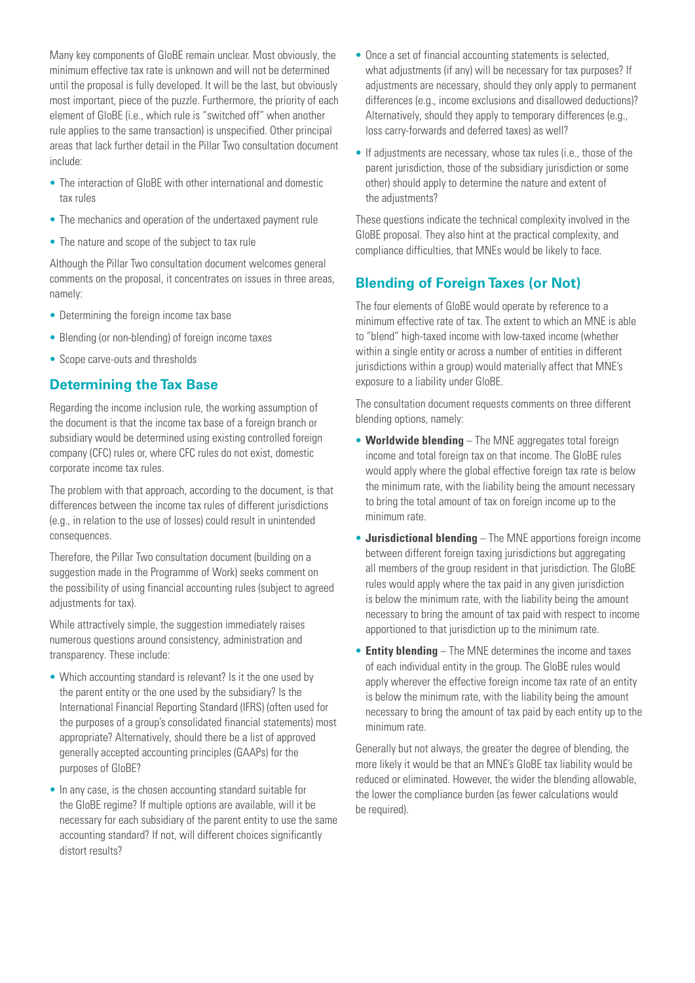Many key components of GloBE remain unclear. Most obviously, the minimum effective tax rate is unknown and will not be determined until the proposal is fully developed. It will be the last, but obviously most important, piece of the puzzle. Furthermore, the priority of each element of GloBE (i.e., which rule is "switched off" when another rule applies to the same transaction) is unspecified. Other principal areas that lack further detail in the Pillar Two consultation document include:

- The interaction of GloBE with other international and domestic tax rules
- The mechanics and operation of the undertaxed payment rule
- The nature and scope of the subject to tax rule

Although the Pillar Two consultation document welcomes general comments on the proposal, it concentrates on issues in three areas, namely:

- Determining the foreign income tax base
- Blending (or non-blending) of foreign income taxes
- Scope carve-outs and thresholds

#### **Determining the Tax Base**

Regarding the income inclusion rule, the working assumption of the document is that the income tax base of a foreign branch or subsidiary would be determined using existing controlled foreign company (CFC) rules or, where CFC rules do not exist, domestic corporate income tax rules.

The problem with that approach, according to the document, is that differences between the income tax rules of different jurisdictions (e.g., in relation to the use of losses) could result in unintended consequences.

Therefore, the Pillar Two consultation document (building on a suggestion made in the Programme of Work) seeks comment on the possibility of using financial accounting rules (subject to agreed adjustments for tax).

While attractively simple, the suggestion immediately raises numerous questions around consistency, administration and transparency. These include:

- Which accounting standard is relevant? Is it the one used by the parent entity or the one used by the subsidiary? Is the International Financial Reporting Standard (IFRS) (often used for the purposes of a group's consolidated financial statements) most appropriate? Alternatively, should there be a list of approved generally accepted accounting principles (GAAPs) for the purposes of GloBE?
- In any case, is the chosen accounting standard suitable for the GloBE regime? If multiple options are available, will it be necessary for each subsidiary of the parent entity to use the same accounting standard? If not, will different choices significantly distort results?
- Once a set of financial accounting statements is selected, what adjustments (if any) will be necessary for tax purposes? If adjustments are necessary, should they only apply to permanent differences (e.g., income exclusions and disallowed deductions)? Alternatively, should they apply to temporary differences (e.g., loss carry-forwards and deferred taxes) as well?
- If adjustments are necessary, whose tax rules (i.e., those of the parent jurisdiction, those of the subsidiary jurisdiction or some other) should apply to determine the nature and extent of the adjustments?

These questions indicate the technical complexity involved in the GloBE proposal. They also hint at the practical complexity, and compliance difficulties, that MNEs would be likely to face.

## **Blending of Foreign Taxes (or Not)**

The four elements of GloBE would operate by reference to a minimum effective rate of tax. The extent to which an MNE is able to "blend" high-taxed income with low-taxed income (whether within a single entity or across a number of entities in different jurisdictions within a group) would materially affect that MNE's exposure to a liability under GloBE.

The consultation document requests comments on three different blending options, namely:

- **Worldwide blending** The MNE aggregates total foreign income and total foreign tax on that income. The GloBE rules would apply where the global effective foreign tax rate is below the minimum rate, with the liability being the amount necessary to bring the total amount of tax on foreign income up to the minimum rate.
- **Jurisdictional blending** The MNE apportions foreign income between different foreign taxing jurisdictions but aggregating all members of the group resident in that jurisdiction. The GloBE rules would apply where the tax paid in any given jurisdiction is below the minimum rate, with the liability being the amount necessary to bring the amount of tax paid with respect to income apportioned to that jurisdiction up to the minimum rate.
- **Entity blending** The MNE determines the income and taxes of each individual entity in the group. The GloBE rules would apply wherever the effective foreign income tax rate of an entity is below the minimum rate, with the liability being the amount necessary to bring the amount of tax paid by each entity up to the minimum rate.

Generally but not always, the greater the degree of blending, the more likely it would be that an MNE's GloBE tax liability would be reduced or eliminated. However, the wider the blending allowable, the lower the compliance burden (as fewer calculations would be required).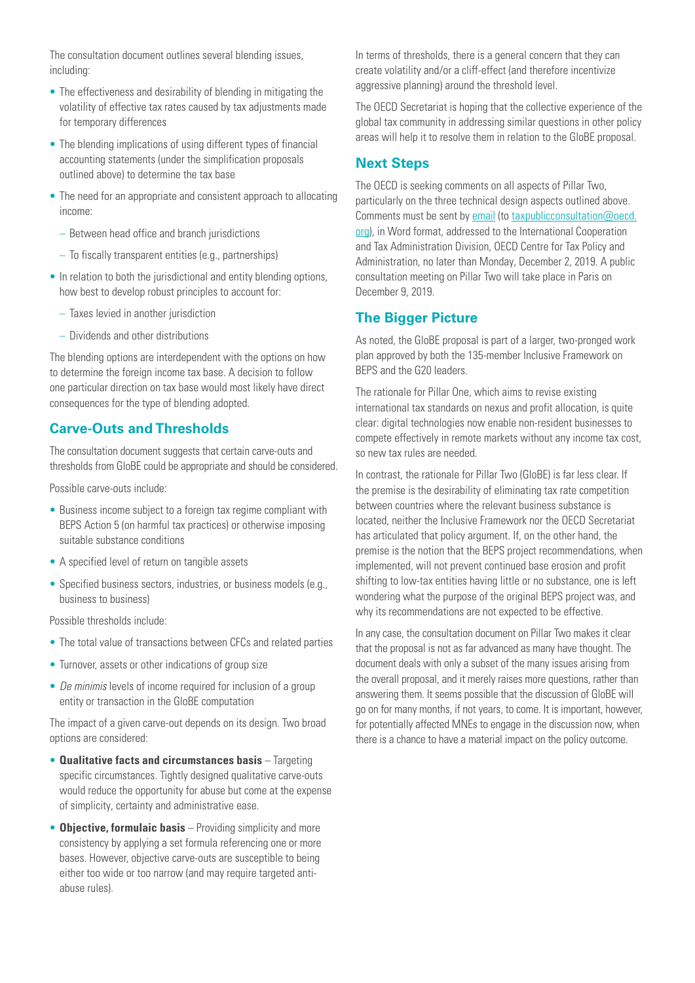The consultation document outlines several blending issues, including:

- The effectiveness and desirability of blending in mitigating the volatility of effective tax rates caused by tax adjustments made for temporary differences
- The blending implications of using different types of financial accounting statements (under the simplification proposals outlined above) to determine the tax base
- The need for an appropriate and consistent approach to allocating income:
	- Between head office and branch jurisdictions
	- To fiscally transparent entities (e.g., partnerships)
- In relation to both the jurisdictional and entity blending options, how best to develop robust principles to account for:
	- Taxes levied in another jurisdiction
	- Dividends and other distributions

The blending options are interdependent with the options on how to determine the foreign income tax base. A decision to follow one particular direction on tax base would most likely have direct consequences for the type of blending adopted.

#### **Carve-Outs and Thresholds**

The consultation document suggests that certain carve-outs and thresholds from GloBE could be appropriate and should be considered.

Possible carve-outs include:

- Business income subject to a foreign tax regime compliant with BEPS Action 5 (on harmful tax practices) or otherwise imposing suitable substance conditions
- A specified level of return on tangible assets
- Specified business sectors, industries, or business models (e.g., business to business)

Possible thresholds include:

- The total value of transactions between CFCs and related parties
- Turnover, assets or other indications of group size
- *De minimis* levels of income required for inclusion of a group entity or transaction in the GloBE computation

The impact of a given carve-out depends on its design. Two broad options are considered:

- **Qualitative facts and circumstances basis** Targeting specific circumstances. Tightly designed qualitative carve-outs would reduce the opportunity for abuse but come at the expense of simplicity, certainty and administrative ease.
- **Objective, formulaic basis** Providing simplicity and more consistency by applying a set formula referencing one or more bases. However, objective carve-outs are susceptible to being either too wide or too narrow (and may require targeted antiabuse rules).

In terms of thresholds, there is a general concern that they can create volatility and/or a cliff-effect (and therefore incentivize aggressive planning) around the threshold level.

The OECD Secretariat is hoping that the collective experience of the global tax community in addressing similar questions in other policy areas will help it to resolve them in relation to the GloBE proposal.

#### **Next Steps**

The OECD is seeking comments on all aspects of Pillar Two, particularly on the three technical design aspects outlined above. Comments must be sent by [email](mailto:taxpublicconsultation@oecd.org) (to [taxpublicconsultation@oecd.](mailto:taxpublicconsultation@oecd.org) [org\)](mailto:taxpublicconsultation@oecd.org), in Word format, addressed to the International Cooperation and Tax Administration Division, OECD Centre for Tax Policy and Administration, no later than Monday, December 2, 2019. A public consultation meeting on Pillar Two will take place in Paris on December 9, 2019.

#### **The Bigger Picture**

As noted, the GloBE proposal is part of a larger, two-pronged work plan approved by both the 135-member Inclusive Framework on BEPS and the G20 leaders.

The rationale for Pillar One, which aims to revise existing international tax standards on nexus and profit allocation, is quite clear: digital technologies now enable non-resident businesses to compete effectively in remote markets without any income tax cost, so new tax rules are needed.

In contrast, the rationale for Pillar Two (GloBE) is far less clear. If the premise is the desirability of eliminating tax rate competition between countries where the relevant business substance is located, neither the Inclusive Framework nor the OECD Secretariat has articulated that policy argument. If, on the other hand, the premise is the notion that the BEPS project recommendations, when implemented, will not prevent continued base erosion and profit shifting to low-tax entities having little or no substance, one is left wondering what the purpose of the original BEPS project was, and why its recommendations are not expected to be effective.

In any case, the consultation document on Pillar Two makes it clear that the proposal is not as far advanced as many have thought. The document deals with only a subset of the many issues arising from the overall proposal, and it merely raises more questions, rather than answering them. It seems possible that the discussion of GloBE will go on for many months, if not years, to come. It is important, however, for potentially affected MNEs to engage in the discussion now, when there is a chance to have a material impact on the policy outcome.